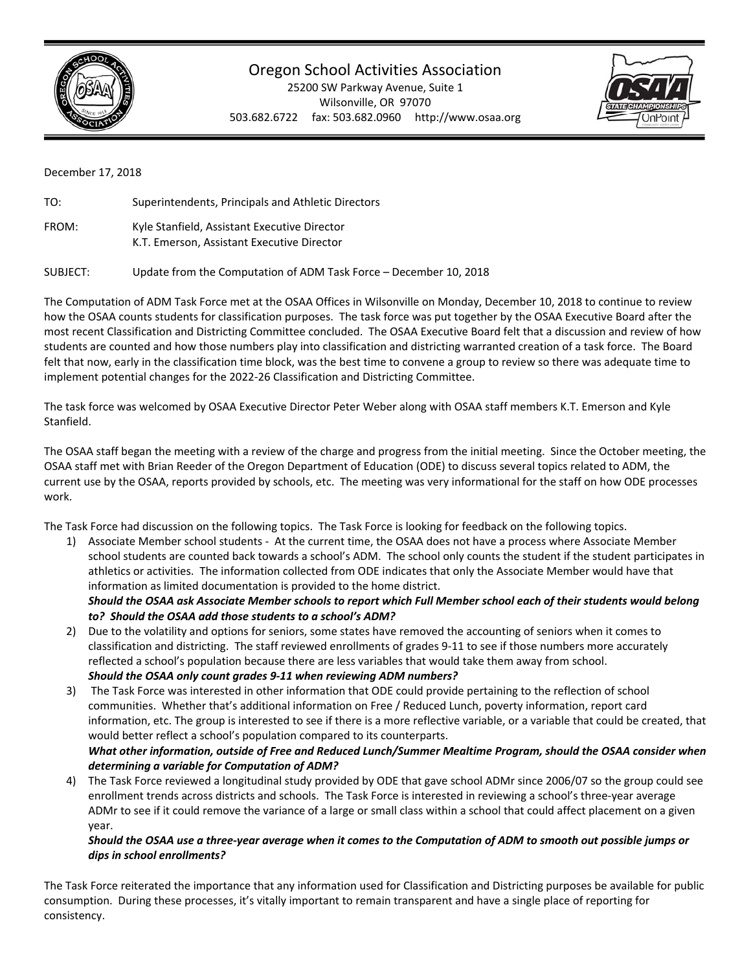

## Oregon School Activities Association

25200 SW Parkway Avenue, Suite 1 Wilsonville, OR 97070 503.682.6722 fax: 503.682.0960 http://www.osaa.org



December 17, 2018

| TO:   | Superintendents, Principals and Athletic Directors                                         |
|-------|--------------------------------------------------------------------------------------------|
| FROM: | Kyle Stanfield, Assistant Executive Director<br>K.T. Emerson, Assistant Executive Director |

SUBJECT: Update from the Computation of ADM Task Force – December 10, 2018

The Computation of ADM Task Force met at the OSAA Offices in Wilsonville on Monday, December 10, 2018 to continue to review how the OSAA counts students for classification purposes. The task force was put together by the OSAA Executive Board after the most recent Classification and Districting Committee concluded. The OSAA Executive Board felt that a discussion and review of how students are counted and how those numbers play into classification and districting warranted creation of a task force. The Board felt that now, early in the classification time block, was the best time to convene a group to review so there was adequate time to implement potential changes for the 2022‐26 Classification and Districting Committee.

The task force was welcomed by OSAA Executive Director Peter Weber along with OSAA staff members K.T. Emerson and Kyle Stanfield.

The OSAA staff began the meeting with a review of the charge and progress from the initial meeting. Since the October meeting, the OSAA staff met with Brian Reeder of the Oregon Department of Education (ODE) to discuss several topics related to ADM, the current use by the OSAA, reports provided by schools, etc. The meeting was very informational for the staff on how ODE processes work.

The Task Force had discussion on the following topics. The Task Force is looking for feedback on the following topics.

1) Associate Member school students ‐ At the current time, the OSAA does not have a process where Associate Member school students are counted back towards a school's ADM. The school only counts the student if the student participates in athletics or activities. The information collected from ODE indicates that only the Associate Member would have that information as limited documentation is provided to the home district. *Should the OSAA ask Associate Member schools to report which Full Member school each of their students would belong* 

*to? Should the OSAA add those students to a school's ADM?* 

- 2) Due to the volatility and options for seniors, some states have removed the accounting of seniors when it comes to classification and districting. The staff reviewed enrollments of grades 9‐11 to see if those numbers more accurately reflected a school's population because there are less variables that would take them away from school. *Should the OSAA only count grades 9‐11 when reviewing ADM numbers?*
- 3) The Task Force was interested in other information that ODE could provide pertaining to the reflection of school communities. Whether that's additional information on Free / Reduced Lunch, poverty information, report card information, etc. The group is interested to see if there is a more reflective variable, or a variable that could be created, that would better reflect a school's population compared to its counterparts. *What other information, outside of Free and Reduced Lunch/Summer Mealtime Program, should the OSAA consider when determining a variable for Computation of ADM?*
- 4) The Task Force reviewed a longitudinal study provided by ODE that gave school ADMr since 2006/07 so the group could see enrollment trends across districts and schools. The Task Force is interested in reviewing a school's three‐year average ADMr to see if it could remove the variance of a large or small class within a school that could affect placement on a given year.

## *Should the OSAA use a three‐year average when it comes to the Computation of ADM to smooth out possible jumps or dips in school enrollments?*

The Task Force reiterated the importance that any information used for Classification and Districting purposes be available for public consumption. During these processes, it's vitally important to remain transparent and have a single place of reporting for consistency.